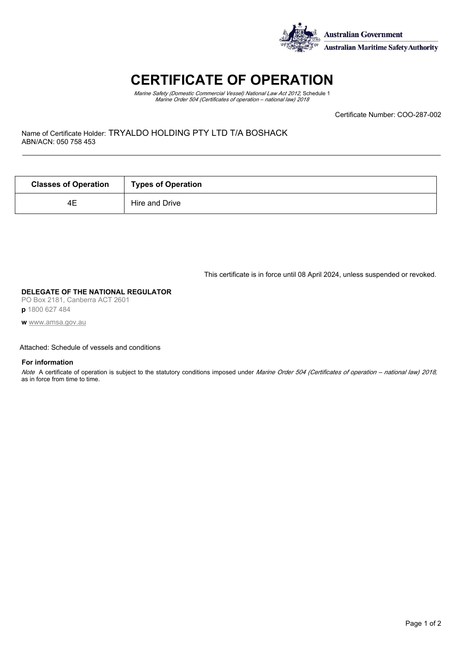

# **CERTIFICATE OF OPERATION**

*Marine Safety (Domestic Commercial Vessel) National Law Act 2012,* Schedule 1 *Marine Order 504 (Certificates of operation – national law) 2018*

Certificate Number: COO-287-002

Name of Certificate Holder: TRYALDO HOLDING PTY LTD T/A BOSHACK ABN/ACN: 050 758 453

| <b>Classes of Operation</b> | <b>Types of Operation</b> |  |
|-----------------------------|---------------------------|--|
| 4Ε                          | Hire and Drive            |  |

This certificate is in force until 08 April 2024, unless suspended or revoked.

### **DELEGATE OF THE NATIONAL REGULATOR**

PO Box 2181, Canberra ACT 2601 **p** 1800 627 484

**w** [www.amsa.gov.au](http://www.amsa.gov.au)

## Attached: Schedule of vessels and conditions

### **For information**

*Note* A certificate of operation is subject to the statutory conditions imposed under *Marine Order 504 (Certificates of operation – national law) 2018,* as in force from time to time.